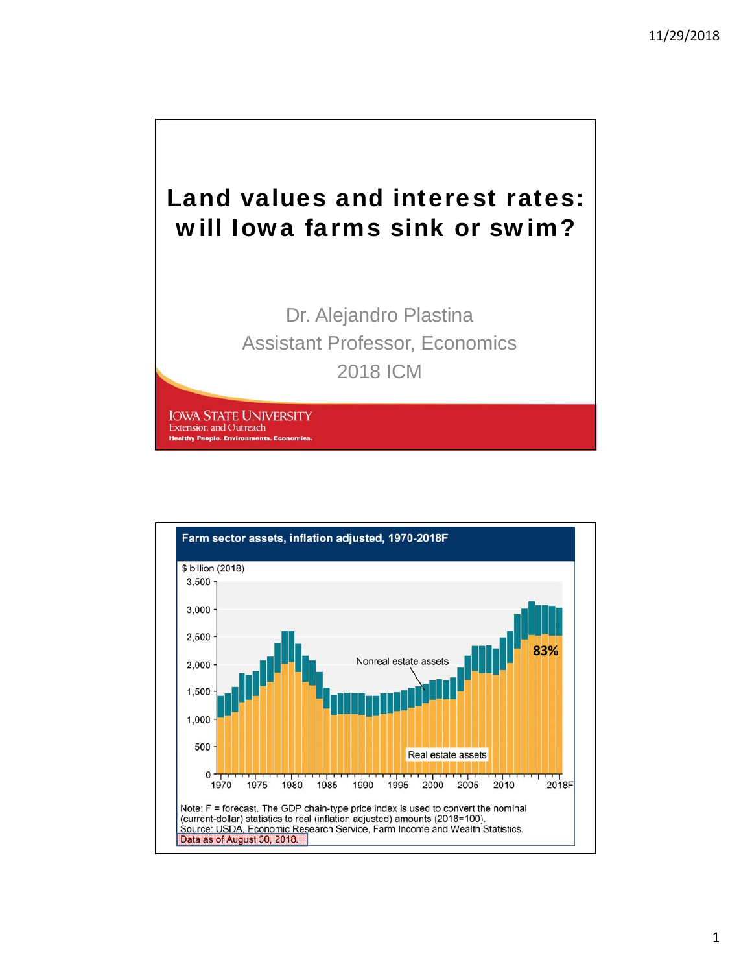

Dr. Alejandro Plastina Assistant Professor, Economics 2018 ICM

**IOWA STATE UNIVERSITY Extension and Outreach Healthy People. Environments** 

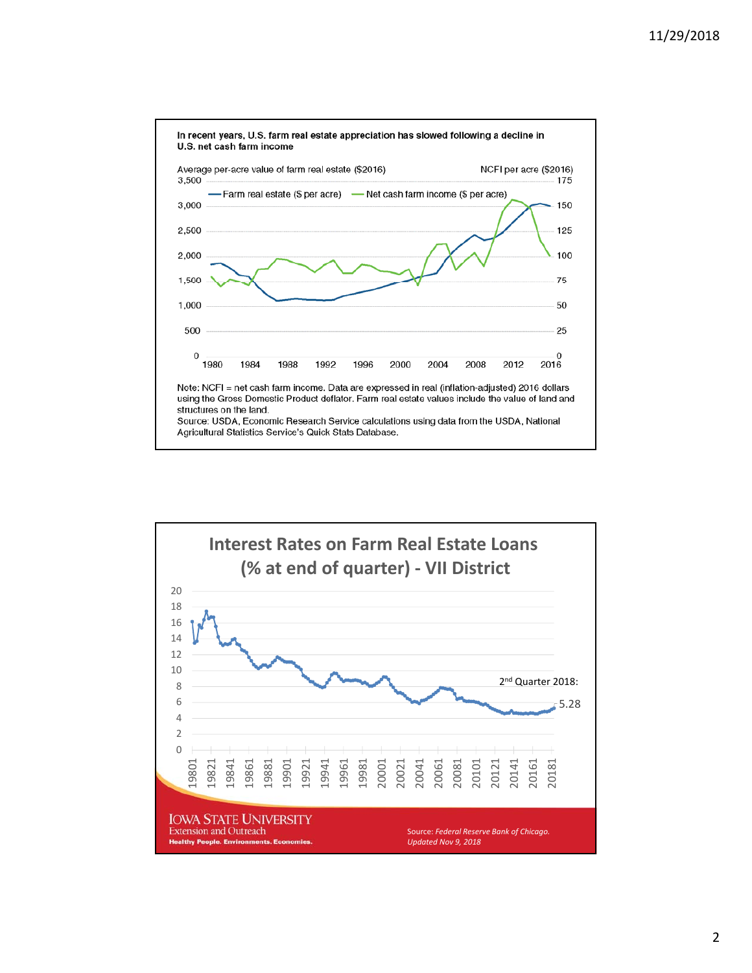

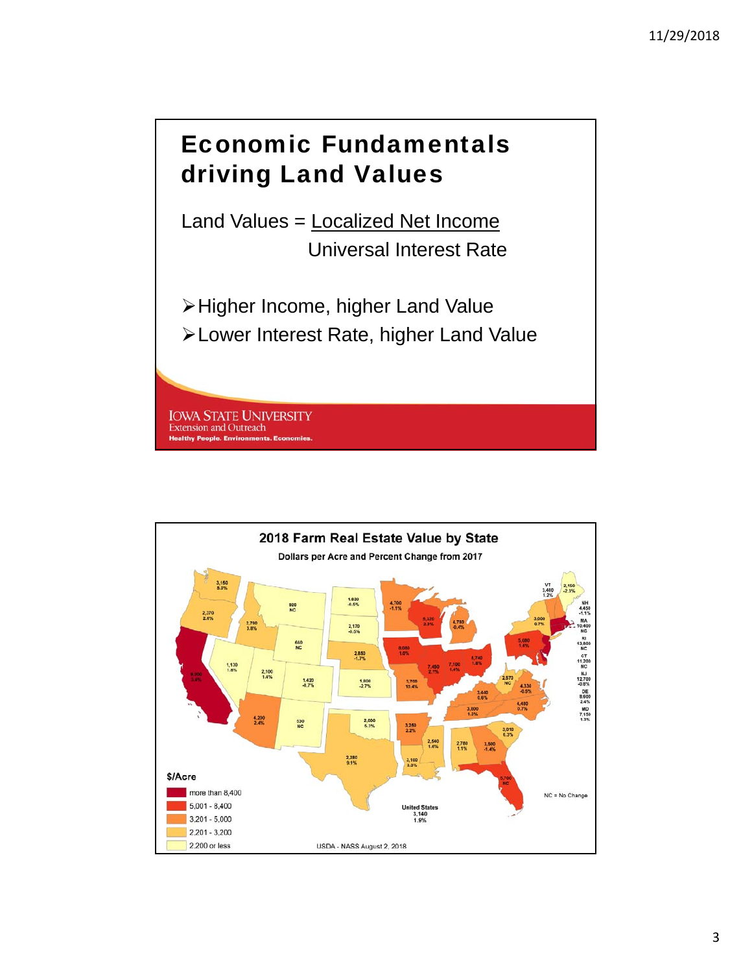### Economic Fundamentals driving Land Values

Land Values = Localized Net Income Universal Interest Rate

Higher Income, higher Land Value Lower Interest Rate, higher Land Value

**IOWA STATE UNIVERSITY Extension and Outreach Healthy People. Environments** 

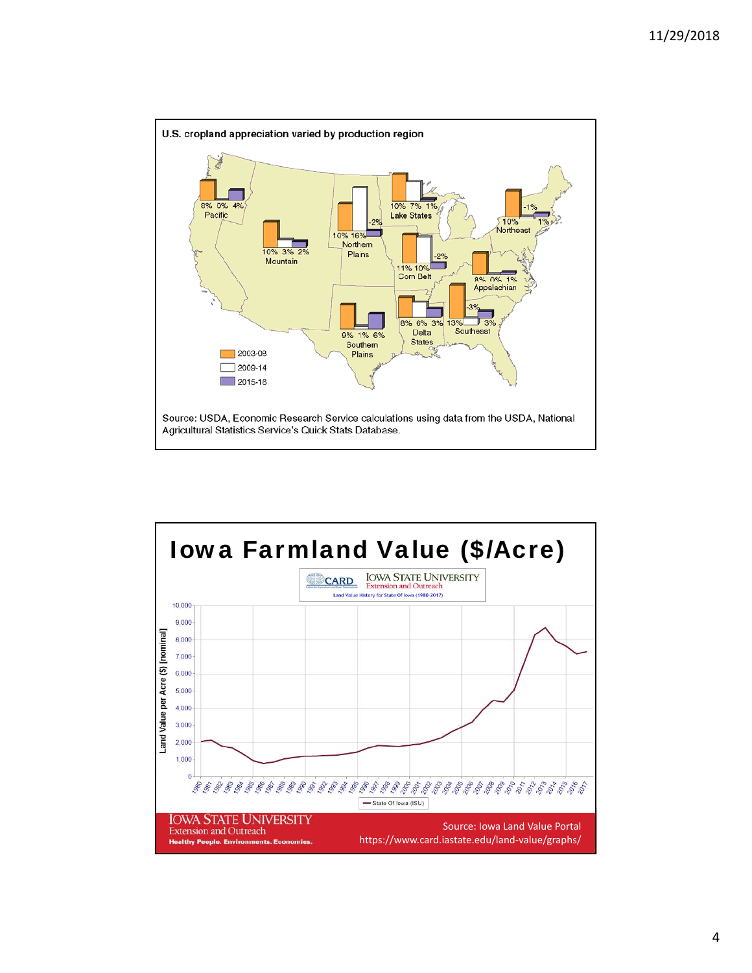

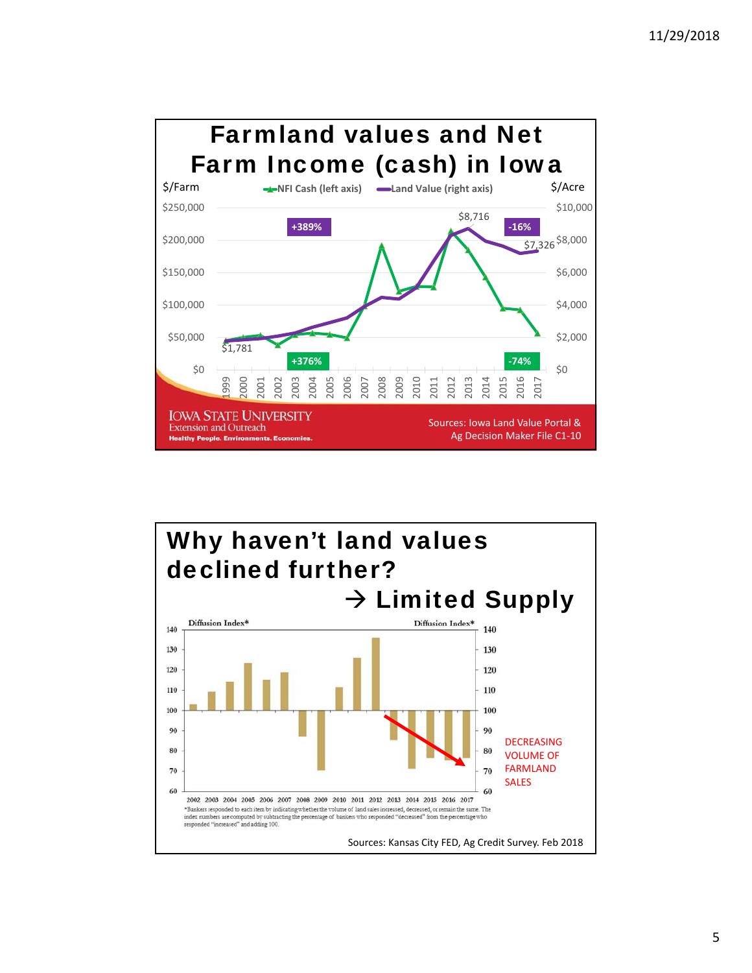

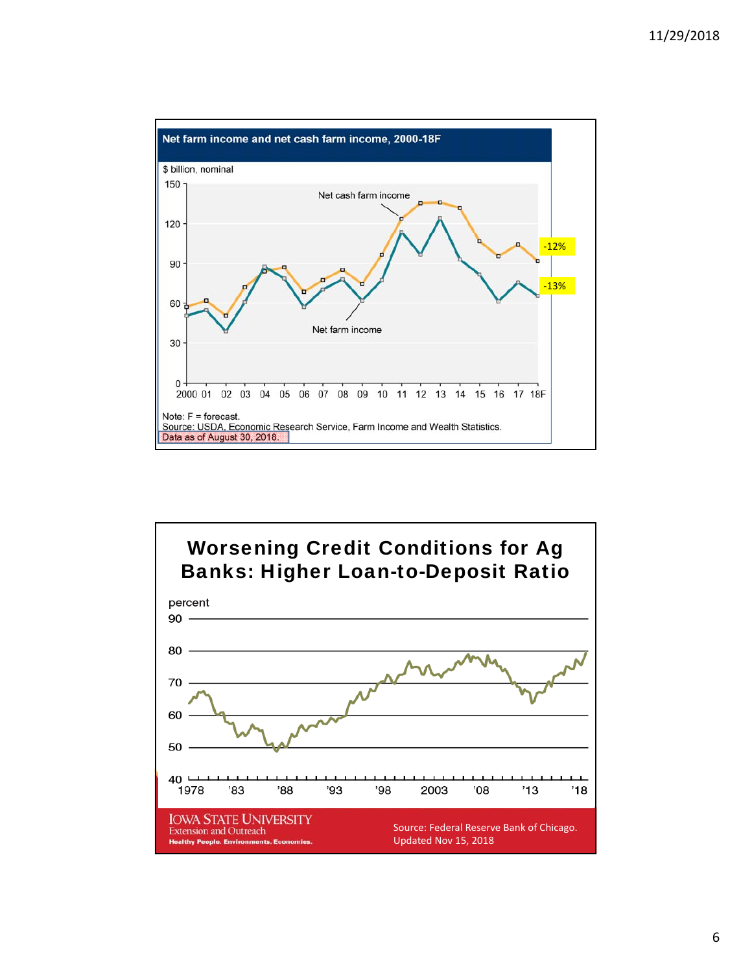



6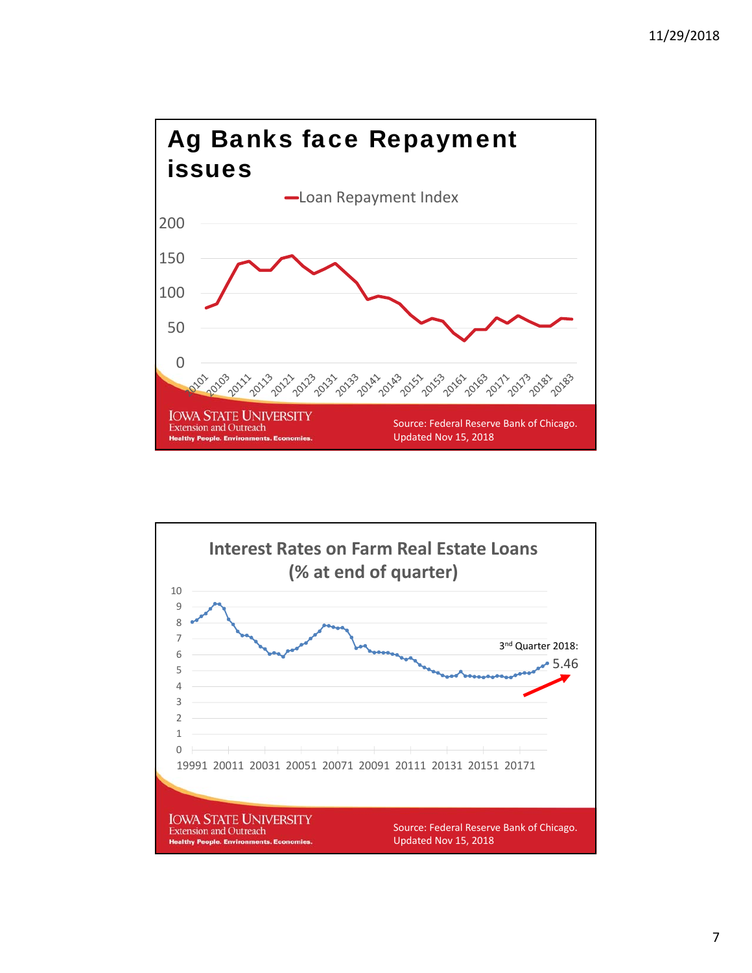

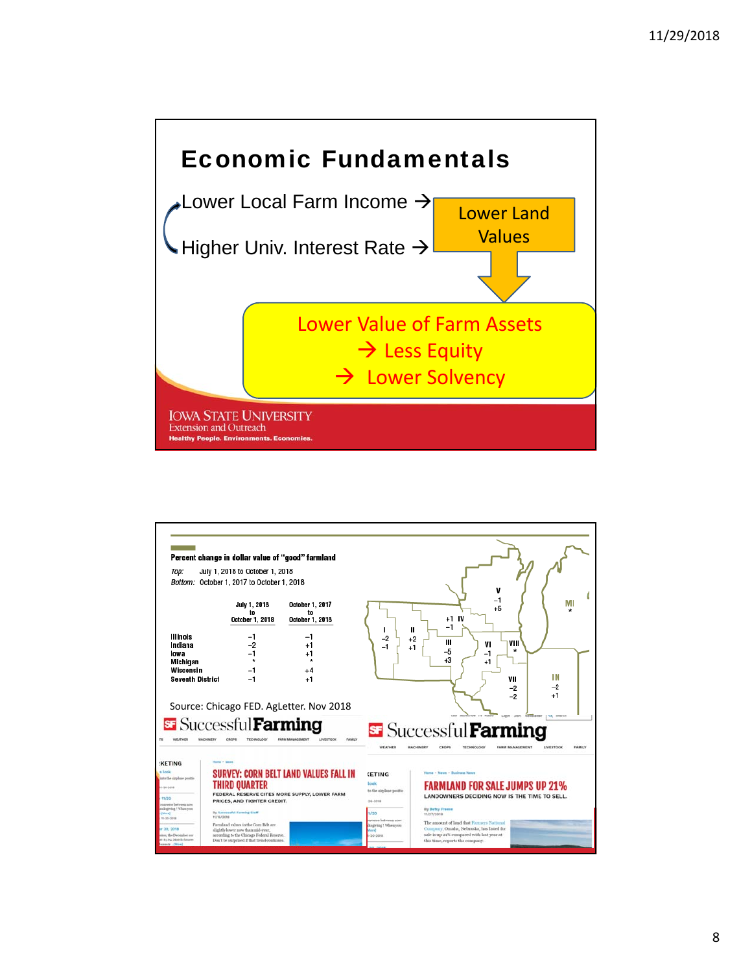

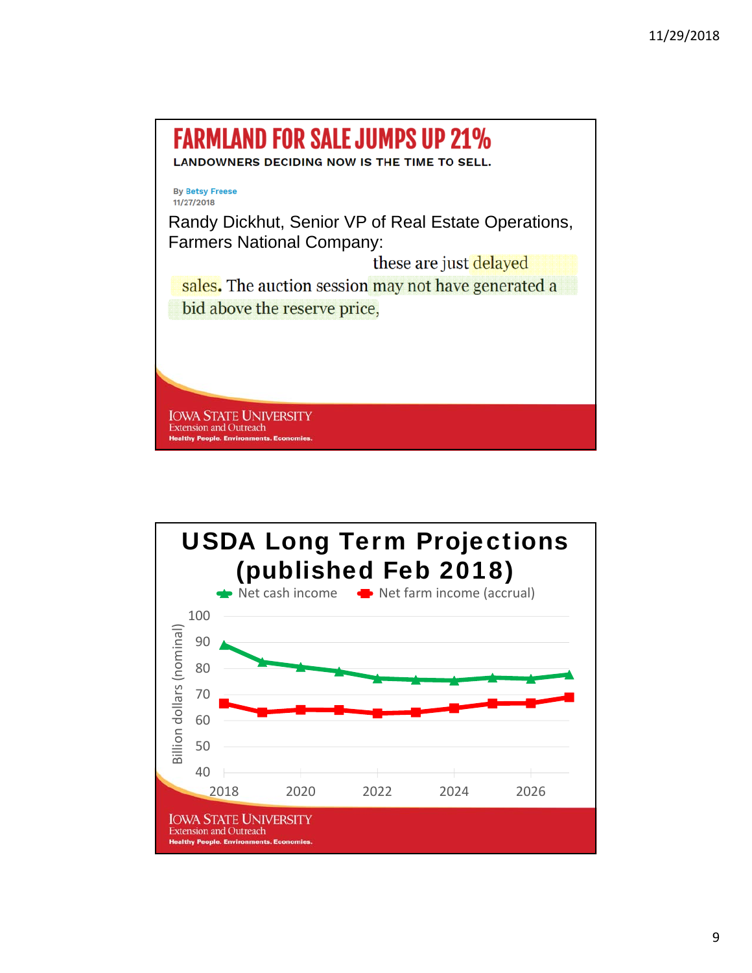

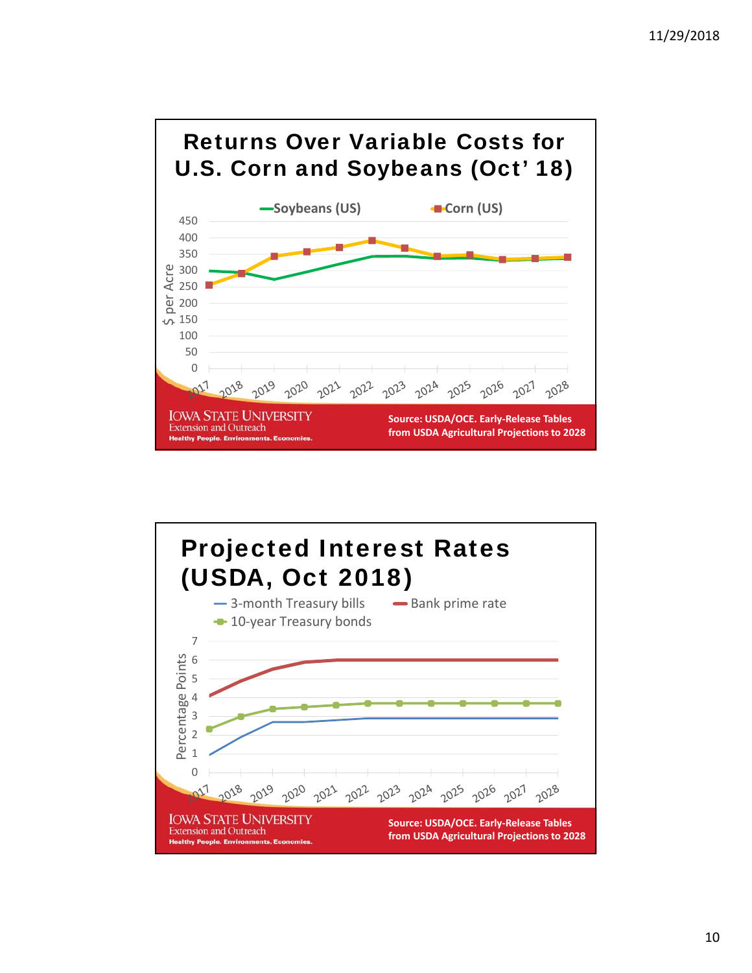

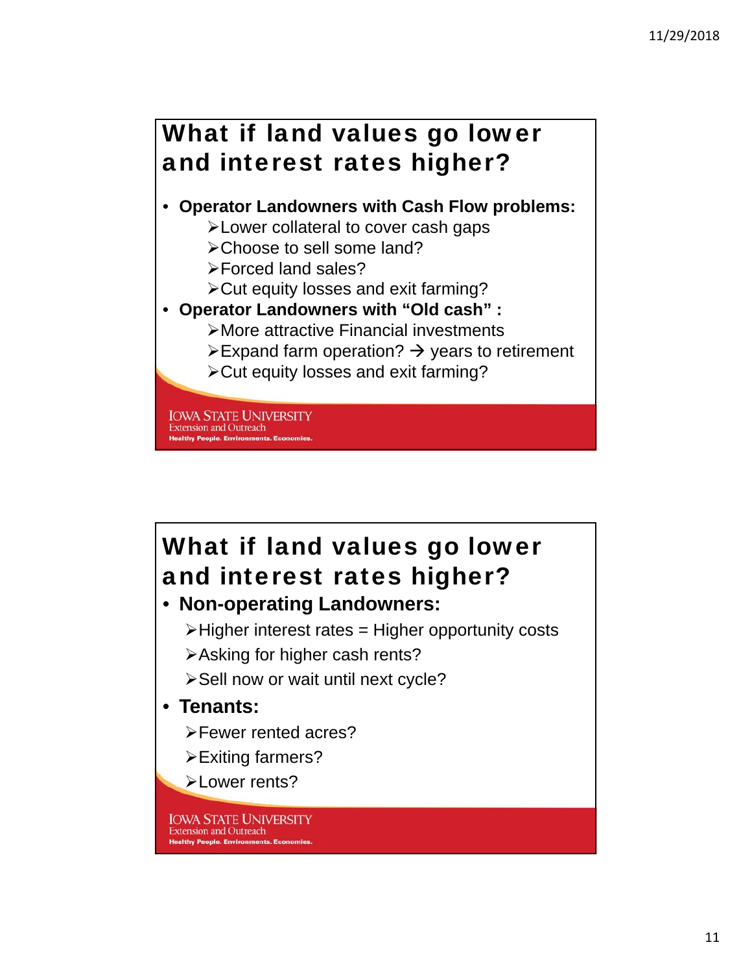## What if land values go lower and interest rates higher?

#### • **Operator Landowners with Cash Flow problems:**

- >Lower collateral to cover cash gaps
- Choose to sell some land?
- Forced land sales?
- Cut equity losses and exit farming?
- **Operator Landowners with "Old cash" :**
	- More attractive Financial investments
	- $\triangleright$  Expand farm operation?  $\rightarrow$  years to retirement
	- Cut equity losses and exit farming?

**IOWA STATE UNIVERSITY Extension and Outreach Healthy People. Environments. Ec** 

# What if land values go lower and interest rates higher?

• **Non-operating Landowners:**

 $\triangleright$  Higher interest rates = Higher opportunity costs

- Asking for higher cash rents?
- > Sell now or wait until next cycle?

#### • **Tenants:**

- Fewer rented acres?
- **Exiting farmers?**

**>Lower rents?** 

**IOWA STATE UNIVERSITY Extension and Outreach Healthy People. Environments. Economies**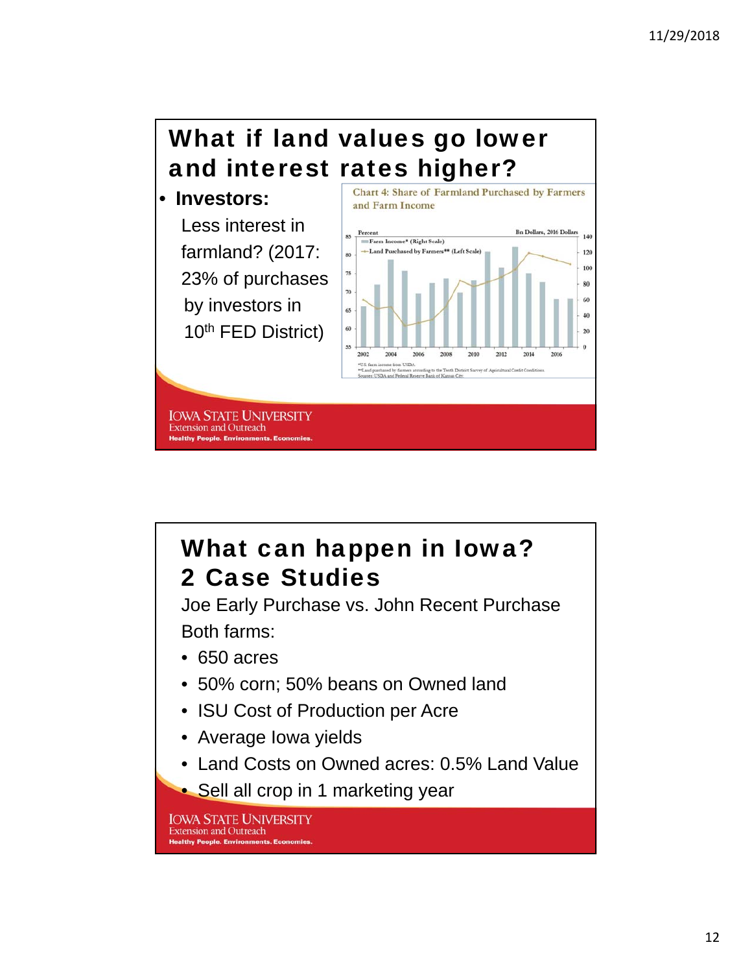### What if land values go lower and interest rates higher? **Chart 4: Share of Farmland Purchased by Farmers**





## What can happen in Iowa? 2 Case Studies

Joe Early Purchase vs. John Recent Purchase Both farms:

- 650 acres
- 50% corn; 50% beans on Owned land
- ISU Cost of Production per Acre
- Average Iowa yields
- Land Costs on Owned acres: 0.5% Land Value
- Sell all crop in 1 marketing year

**IOWA STATE UNIVERSITY Extension and Outreach Healthy People. Environments. Economies**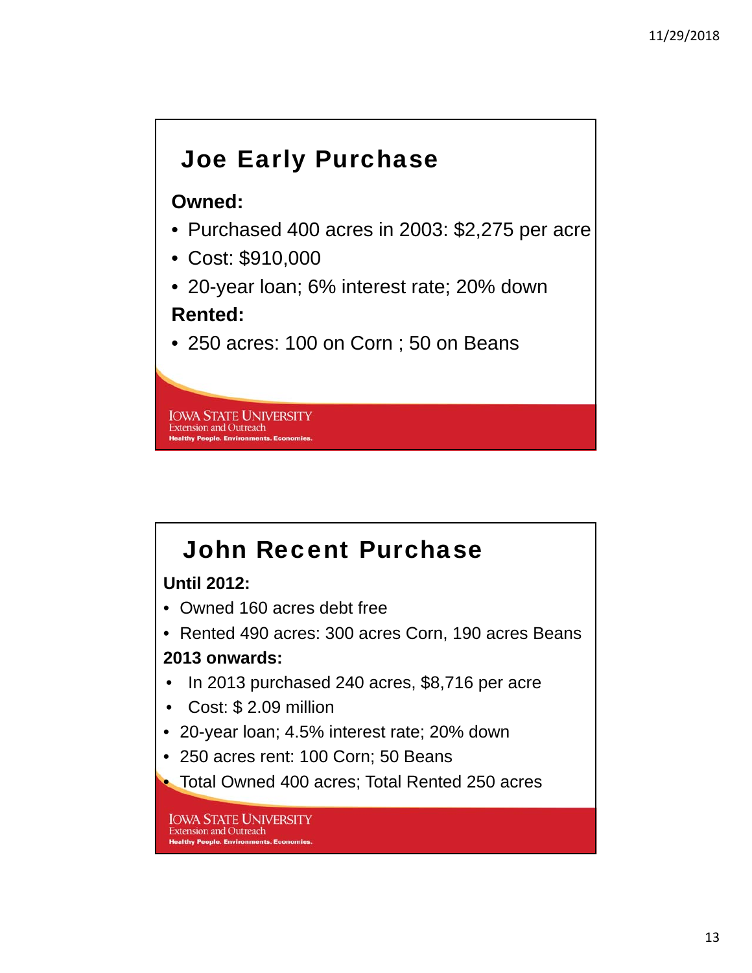## Joe Early Purchase

#### **Owned:**

- Purchased 400 acres in 2003: \$2,275 per acre
- Cost: \$910,000
- 20-year loan; 6% interest rate; 20% down **Rented:**
- 250 acres: 100 on Corn ; 50 on Beans

**IOWA STATE UNIVERSITY Extension and Outreach Healthy People. Environments. Ec** 

# John Recent Purchase

#### **Until 2012:**

- Owned 160 acres debt free
- Rented 490 acres: 300 acres Corn, 190 acres Beans **2013 onwards:**
- In 2013 purchased 240 acres, \$8,716 per acre
- Cost: \$ 2.09 million
- 20-year loan; 4.5% interest rate; 20% down
- 250 acres rent: 100 Corn; 50 Beans

• Total Owned 400 acres; Total Rented 250 acres

**IOWA STATE UNIVERSITY Extension and Outreach Healthy People, Environments, Economies**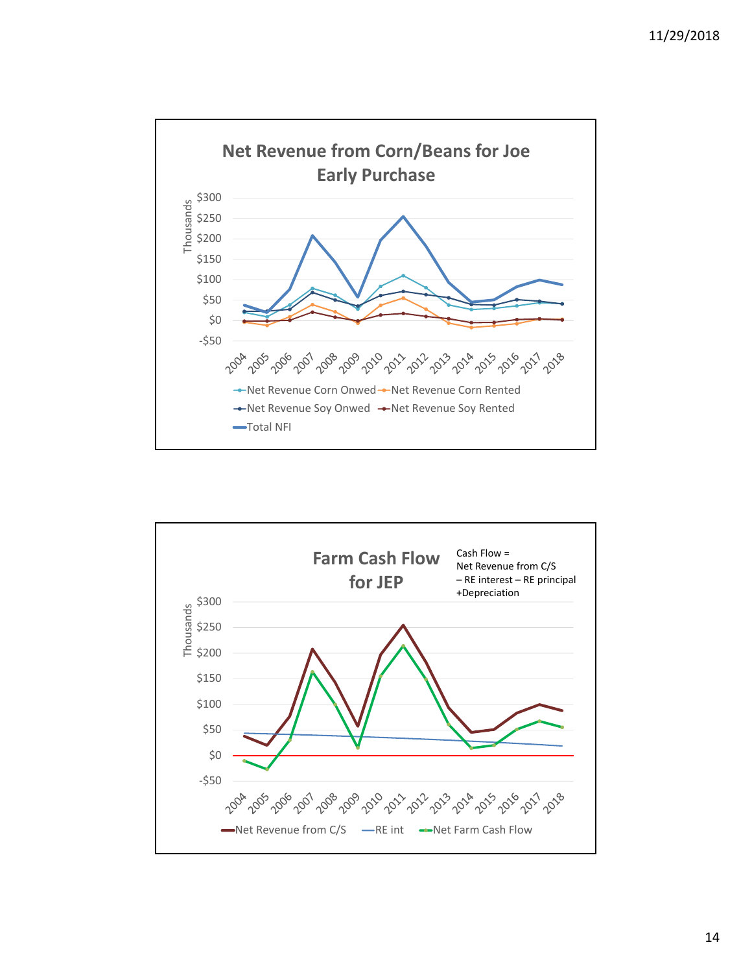

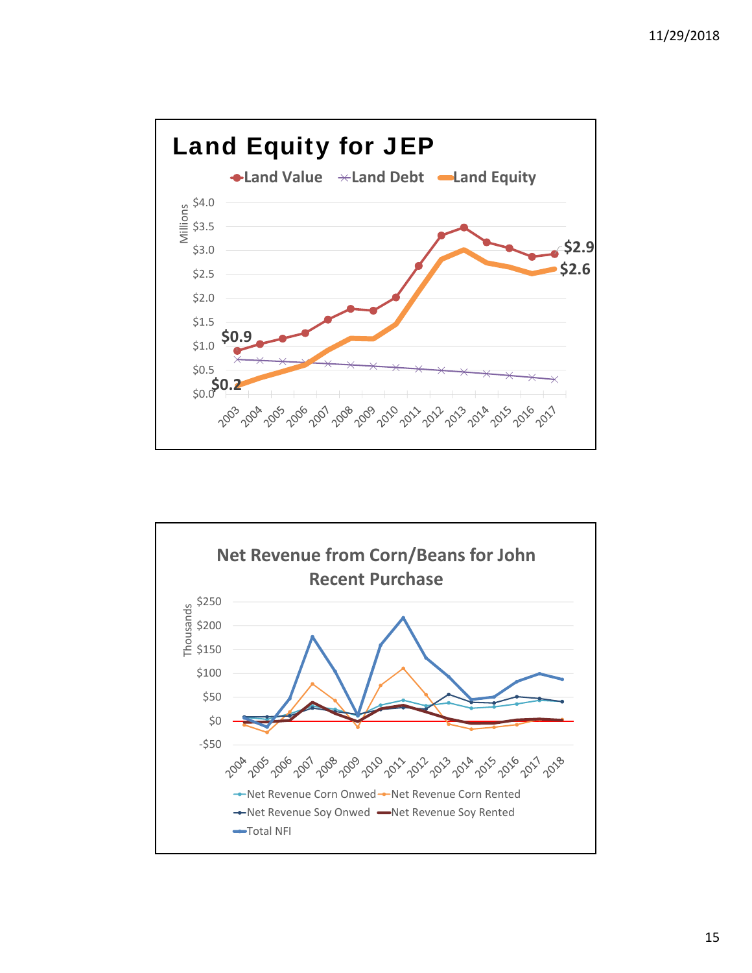

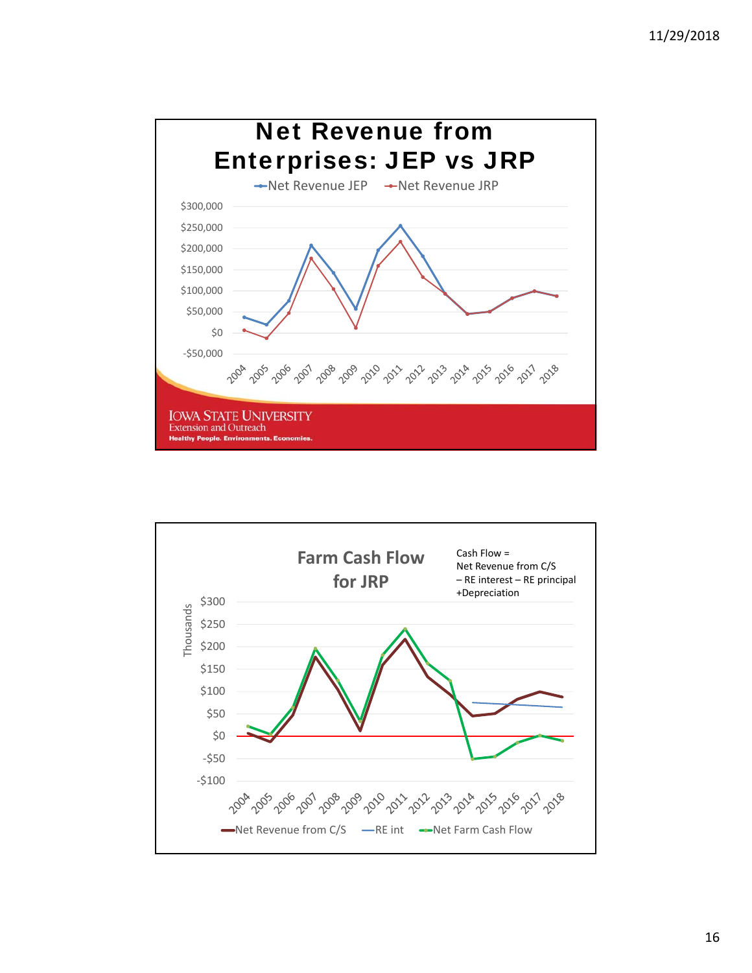

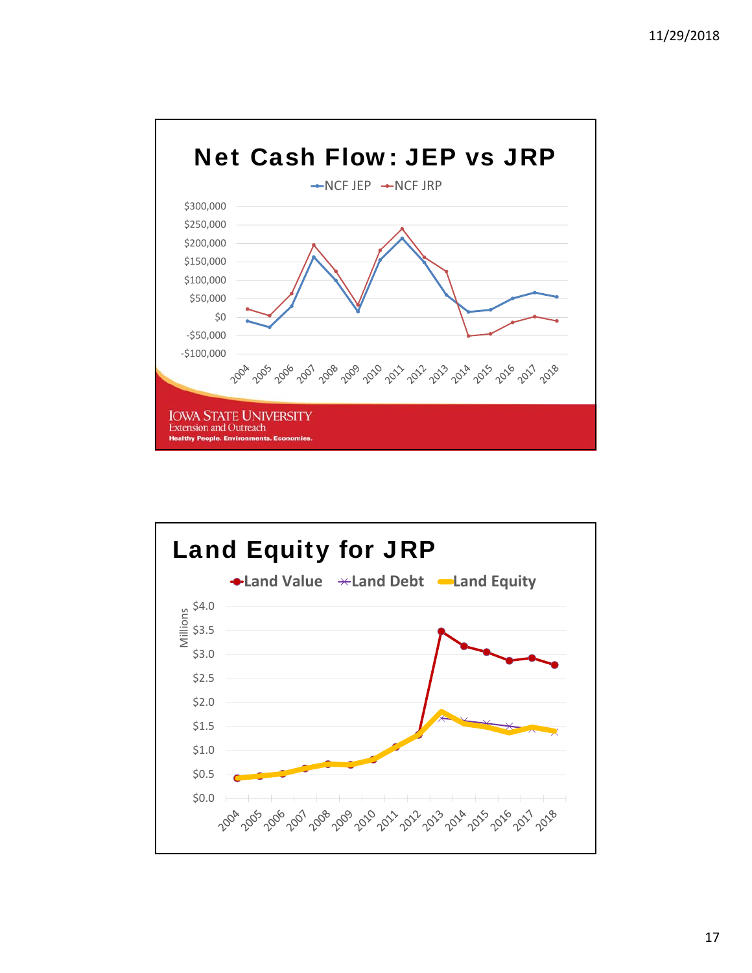

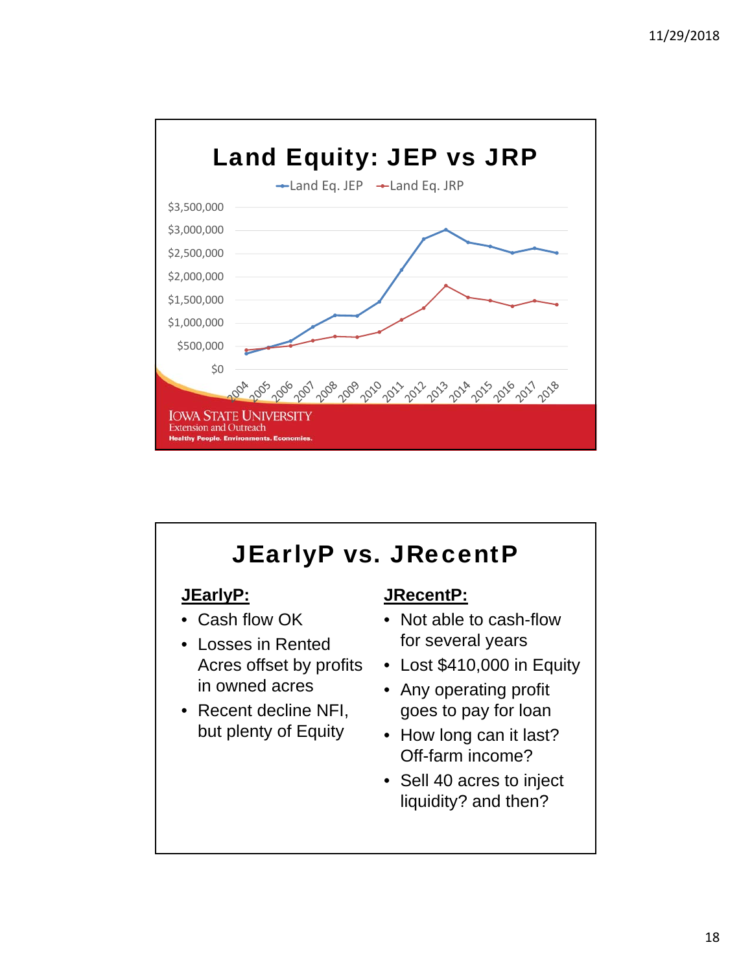

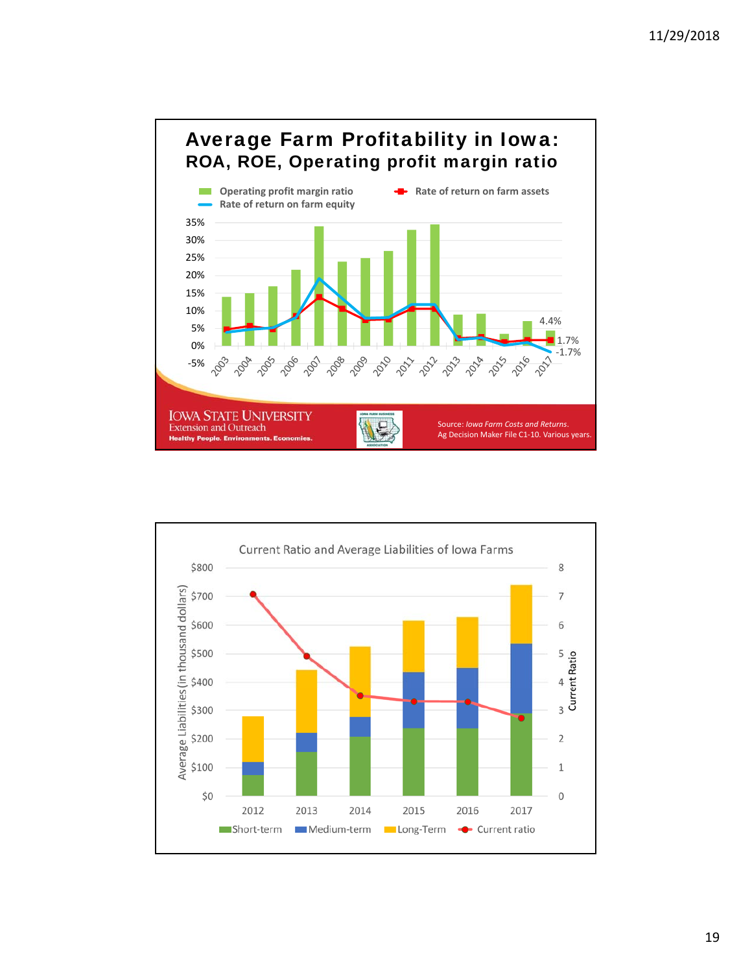

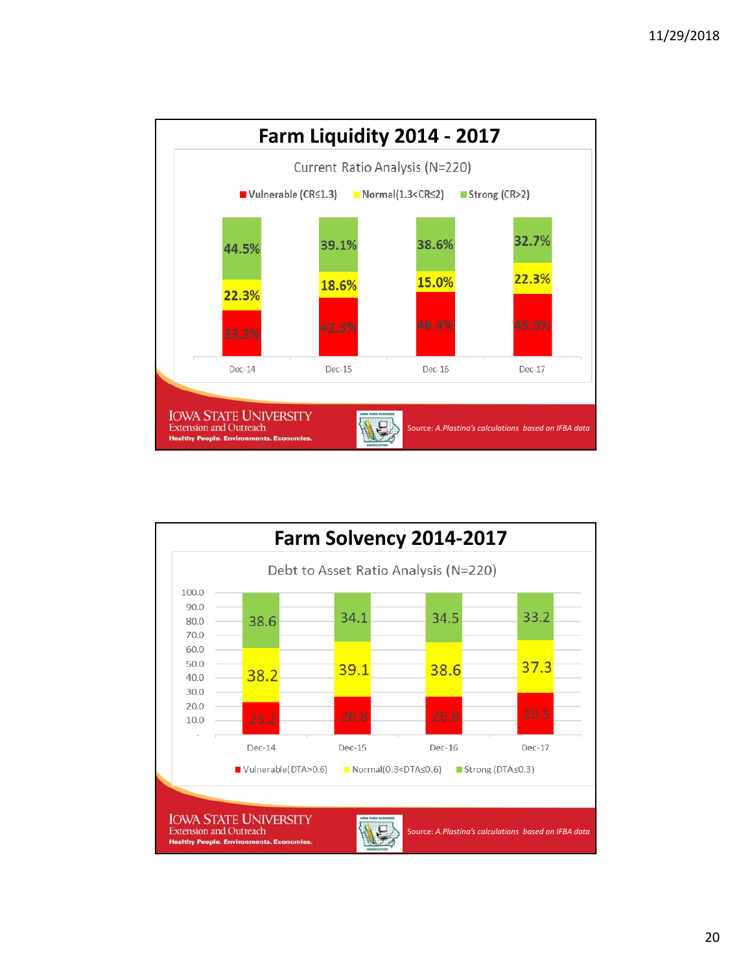

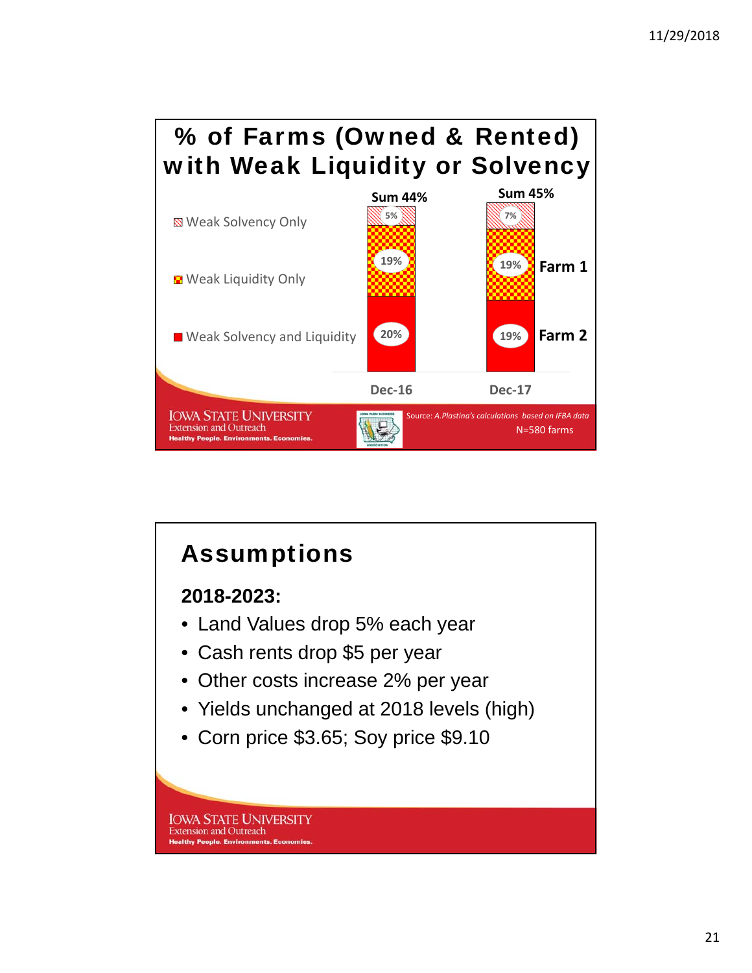

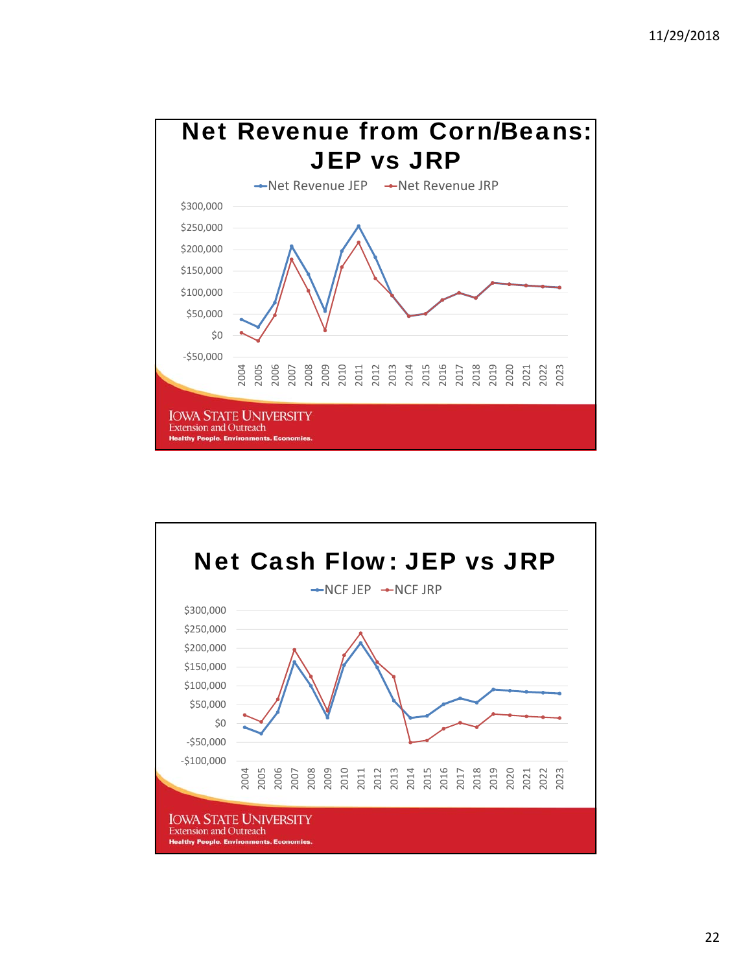

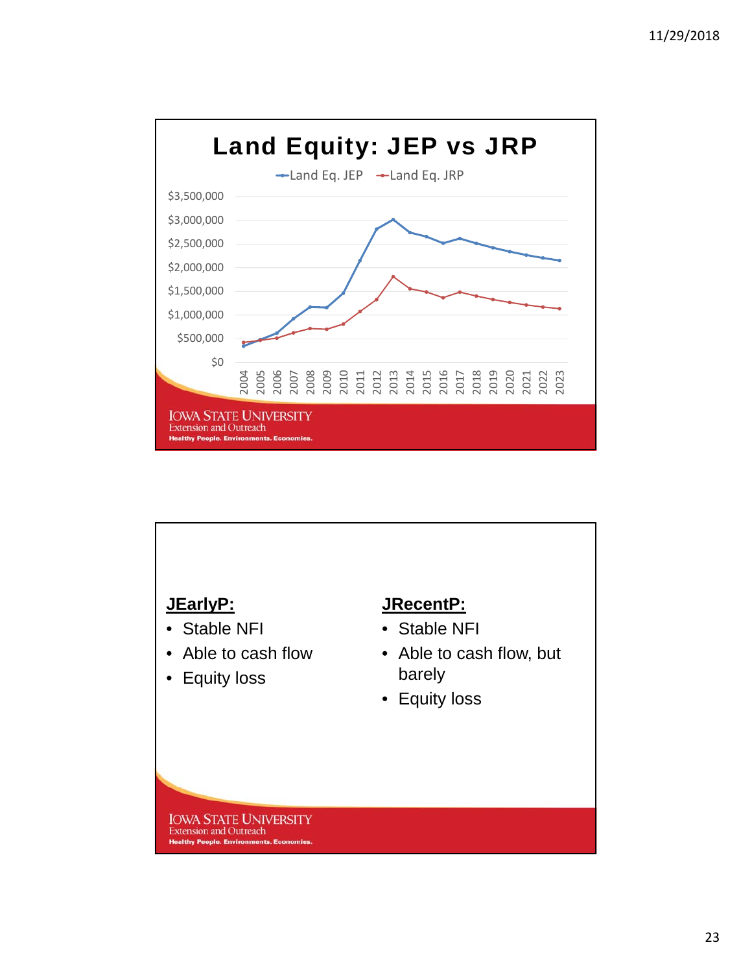

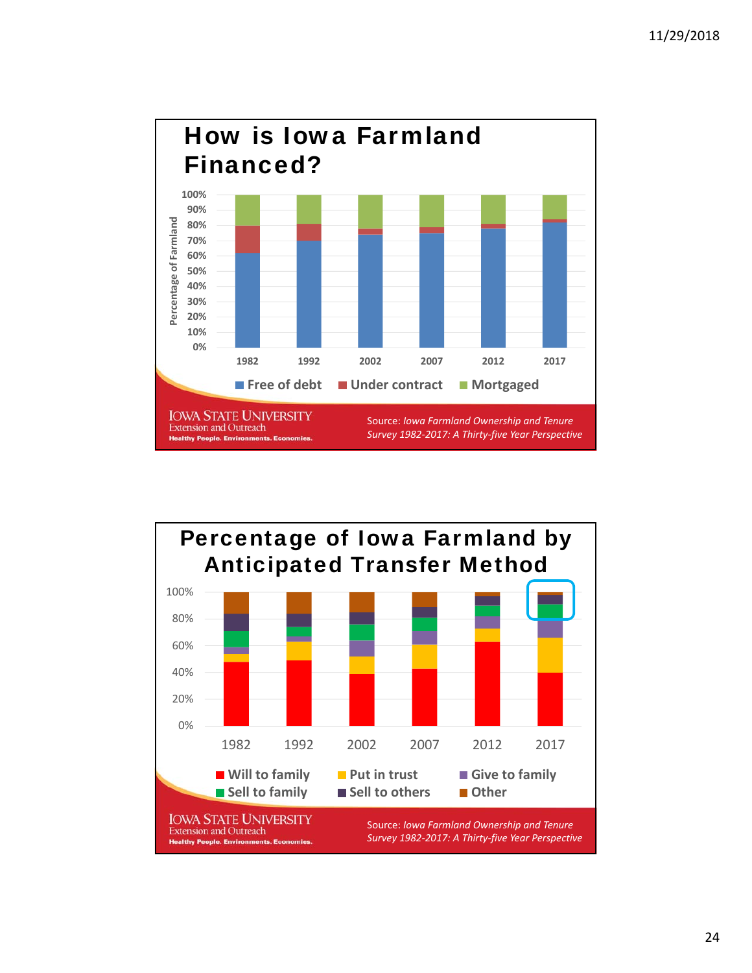

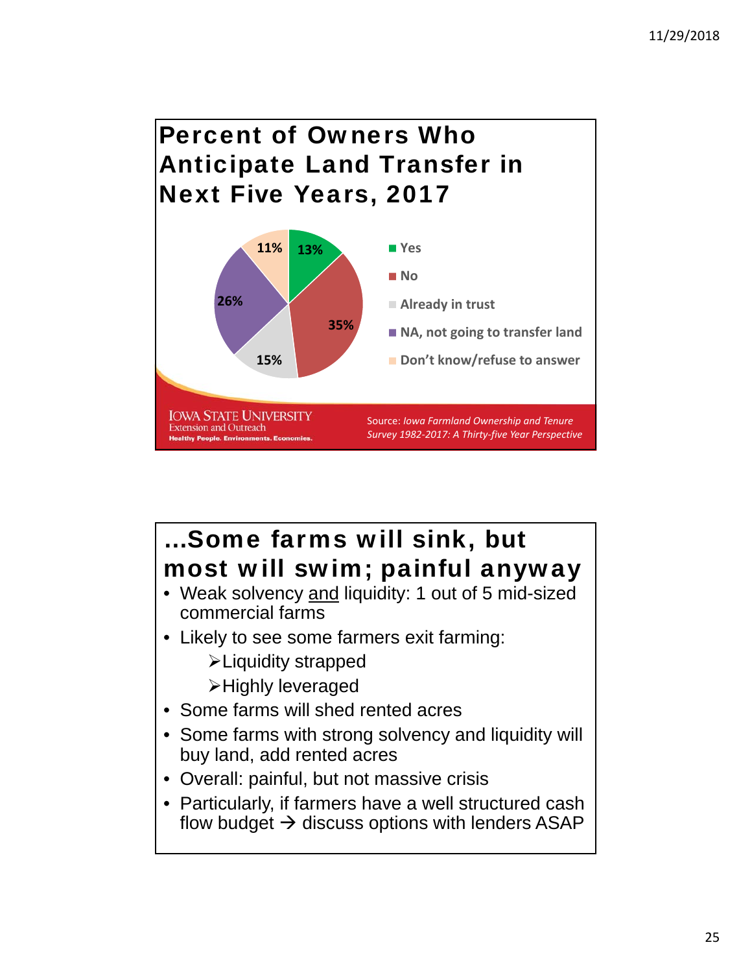# Percent of Owners Who Anticipate Land Transfer in Next Five Years, 2017



# …Some farms will sink, but most will swim; painful anyway

- Weak solvency and liquidity: 1 out of 5 mid-sized commercial farms
- Likely to see some farmers exit farming:
	- Liquidity strapped
	- Highly leveraged
- Some farms will shed rented acres
- Some farms with strong solvency and liquidity will buy land, add rented acres
- Overall: painful, but not massive crisis
- Particularly, if farmers have a well structured cash flow budget  $\rightarrow$  discuss options with lenders ASAP